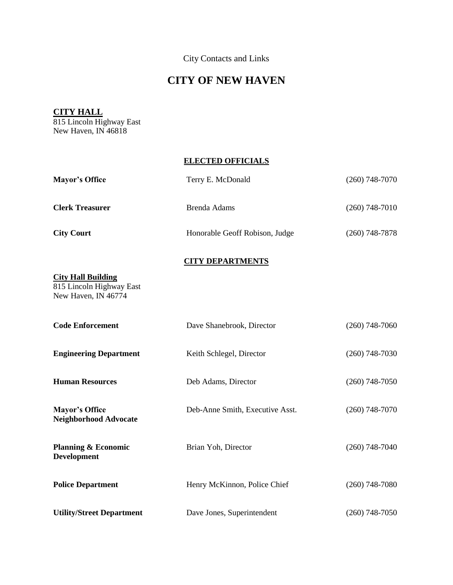City Contacts and Links

## **CITY OF NEW HAVEN**

## **CITY HALL**

815 Lincoln Highway East New Haven, IN 46818

## **ELECTED OFFICIALS**

| <b>Mayor's Office</b>                                                        | Terry E. McDonald               | $(260)$ 748-7070 |
|------------------------------------------------------------------------------|---------------------------------|------------------|
| <b>Clerk Treasurer</b>                                                       | <b>Brenda Adams</b>             | $(260)$ 748-7010 |
| <b>City Court</b>                                                            | Honorable Geoff Robison, Judge  | $(260)$ 748-7878 |
|                                                                              | <b>CITY DEPARTMENTS</b>         |                  |
| <b>City Hall Building</b><br>815 Lincoln Highway East<br>New Haven, IN 46774 |                                 |                  |
| <b>Code Enforcement</b>                                                      | Dave Shanebrook, Director       | $(260)$ 748-7060 |
| <b>Engineering Department</b>                                                | Keith Schlegel, Director        | $(260)$ 748-7030 |
| <b>Human Resources</b>                                                       | Deb Adams, Director             | $(260)$ 748-7050 |
| <b>Mayor's Office</b><br><b>Neighborhood Advocate</b>                        | Deb-Anne Smith, Executive Asst. | $(260)$ 748-7070 |
| <b>Planning &amp; Economic</b><br><b>Development</b>                         | Brian Yoh, Director             | $(260)$ 748-7040 |
| <b>Police Department</b>                                                     | Henry McKinnon, Police Chief    | $(260)$ 748-7080 |
| <b>Utility/Street Department</b>                                             | Dave Jones, Superintendent      | $(260)$ 748-7050 |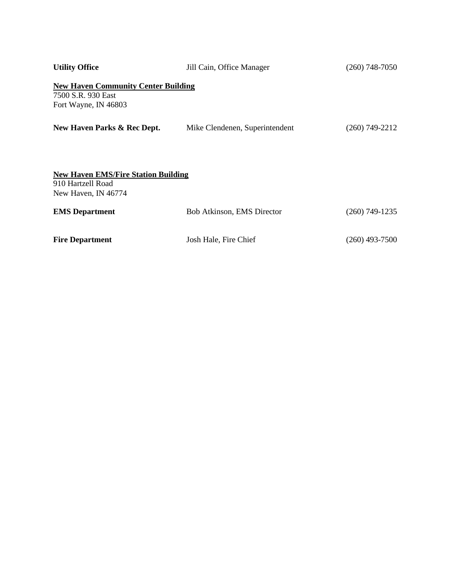| <b>Utility Office</b>                                                                    | Jill Cain, Office Manager      | $(260)$ 748-7050 |
|------------------------------------------------------------------------------------------|--------------------------------|------------------|
| <b>New Haven Community Center Building</b><br>7500 S.R. 930 East<br>Fort Wayne, IN 46803 |                                |                  |
| New Haven Parks & Rec Dept.                                                              | Mike Clendenen, Superintendent | $(260)$ 749-2212 |
| <b>New Haven EMS/Fire Station Building</b><br>910 Hartzell Road<br>New Haven, IN 46774   |                                |                  |
| <b>EMS</b> Department                                                                    | Bob Atkinson, EMS Director     | $(260)$ 749-1235 |
| <b>Fire Department</b>                                                                   | Josh Hale, Fire Chief          | $(260)$ 493-7500 |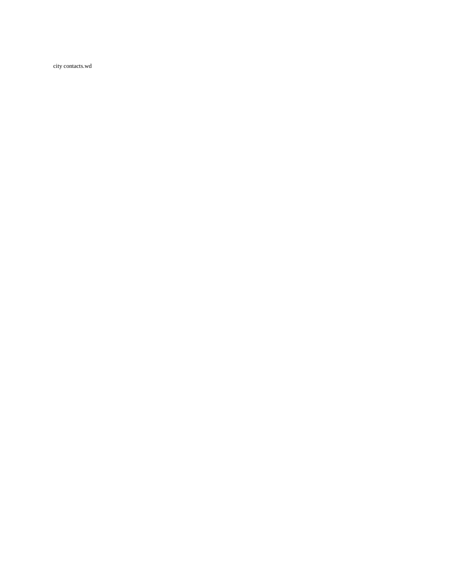city contacts.wd